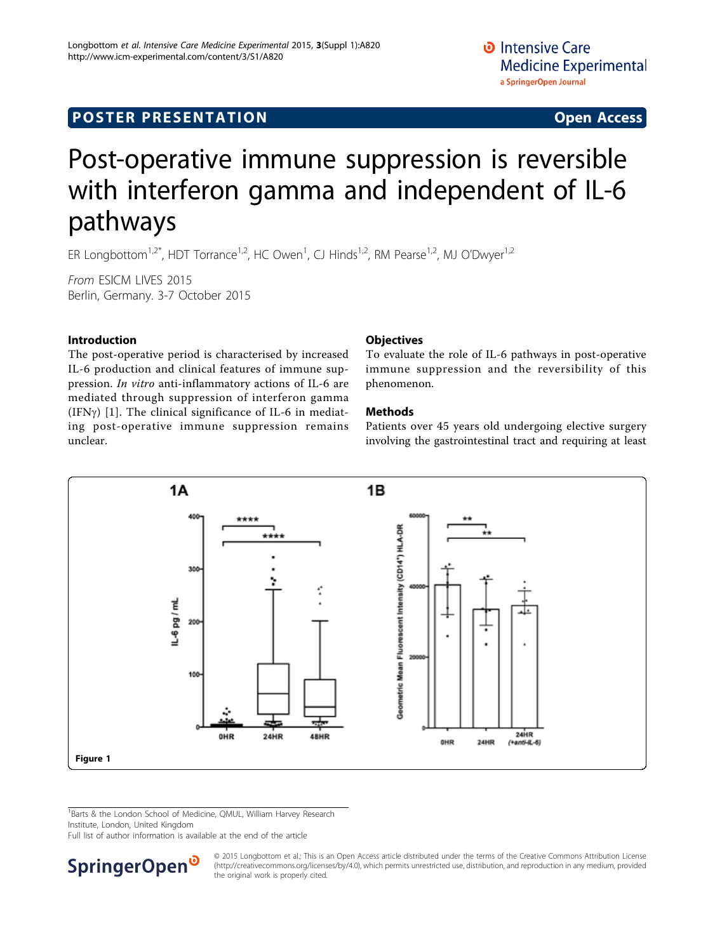## <span id="page-0-0"></span>**POSTER PRESENTATION CONSUMING ACCESS**

# Post-operative immune suppression is reversible with interferon gamma and independent of IL-6 pathways

ER Longbottom<sup>1,2\*</sup>, HDT Torrance<sup>1,2</sup>, HC Owen<sup>1</sup>, CJ Hinds<sup>1,2</sup>, RM Pearse<sup>1,2</sup>, MJ O'Dwyer<sup>1,2</sup>

From ESICM LIVES 2015 Berlin, Germany. 3-7 October 2015

#### Introduction

The post-operative period is characterised by increased IL-6 production and clinical features of immune suppression. In vitro anti-inflammatory actions of IL-6 are mediated through suppression of interferon gamma (IFN $\gamma$ ) [[1\]](#page-1-0). The clinical significance of IL-6 in mediating post-operative immune suppression remains unclear.

#### **Objectives**

To evaluate the role of IL-6 pathways in post-operative immune suppression and the reversibility of this phenomenon.

#### Methods

Patients over 45 years old undergoing elective surgery involving the gastrointestinal tract and requiring at least



<sup>1</sup>Barts & the London School of Medicine, QMUL, William Harvey Research Institute, London, United Kingdom

Full list of author information is available at the end of the article



© 2015 Longbottom et al.; This is an Open Access article distributed under the terms of the Creative Commons Attribution License [\(http://creativecommons.org/licenses/by/4.0](http://creativecommons.org/licenses/by/4.0)), which permits unrestricted use, distribution, and reproduction in any medium, provided the original work is properly cited.